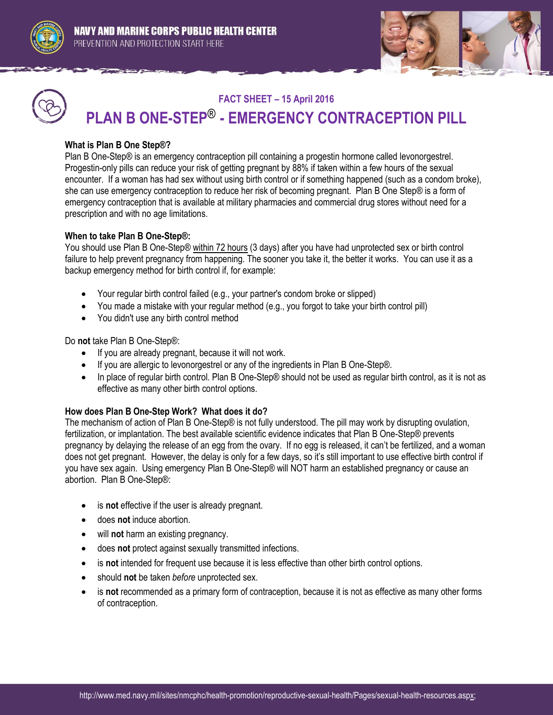



# **FACT SHEET – 15 April 2016 PLAN B ONE-STEP**® **- EMERGENCY CONTRACEPTION PILL**

## **What is Plan B One Step®?**

Plan B One-Step® is an emergency contraception pill containing a progestin hormone called levonorgestrel. Progestin-only pills can reduce your risk of getting pregnant by 88% if taken within a few hours of the sexual encounter. If a woman has had sex without using birth control or if something happened (such as a condom broke), she can use emergency contraception to reduce her risk of becoming pregnant. Plan B One Step® is a form of emergency contraception that is available at military pharmacies and commercial drug stores without need for a prescription and with no age limitations.

## **When to take Plan B One-Step®:**

You should use Plan B One-Step® within 72 hours (3 days) after you have had unprotected sex or birth control failure to help prevent pregnancy from happening. The sooner you take it, the better it works. You can use it as a backup emergency method for birth control if, for example:

- Your regular birth control failed (e.g., your partner's condom broke or slipped)
- You made a mistake with your regular method (e.g., you forgot to take your birth control pill)
- You didn't use any birth control method

Do **not** take Plan B One-Step®:

- If you are already pregnant, because it will not work.
- If you are allergic to levonorgestrel or any of the ingredients in Plan B One-Step®.
- In place of regular birth control. Plan B One-Step® should not be used as regular birth control, as it is not as effective as many other birth control options.

### **How does Plan B One-Step Work? What does it do?**

The mechanism of action of Plan B One-Step® is not fully understood. The pill may work by disrupting ovulation, fertilization, or implantation. The best available scientific evidence indicates that Plan B One-Step® prevents pregnancy by delaying the release of an egg from the ovary. If no egg is released, it can't be fertilized, and a woman does not get pregnant. However, the delay is only for a few days, so it's still important to use effective birth control if you have sex again. Using emergency Plan B One-Step® will NOT harm an established pregnancy or cause an abortion. Plan B One-Step®:

- is **not** effective if the user is already pregnant.
- does **not** induce abortion.
- will **not** harm an existing pregnancy.
- does **not** protect against sexually transmitted infections.
- is **not** intended for frequent use because it is less effective than other birth control options.
- should **not** be taken *before* unprotected sex.
- is **not** recommended as a primary form of contraception, because it is not as effective as many other forms of contraception.